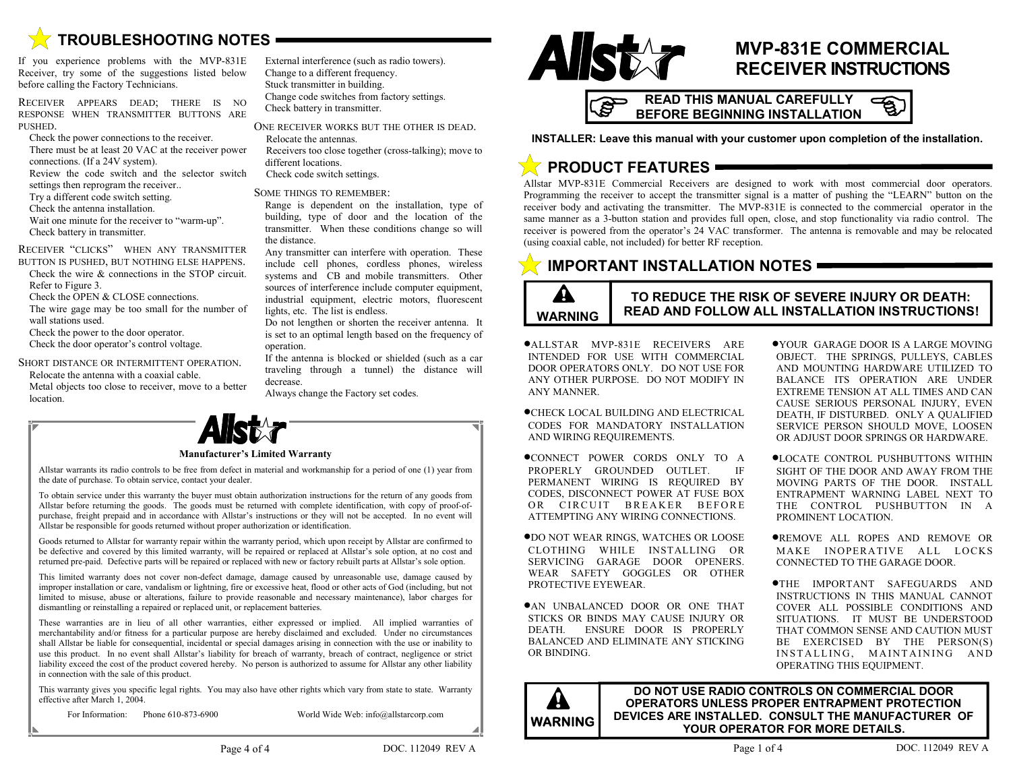

If you experience problems with the MVP-831E Receiver, try some of the suggestions listed below before calling the Factory Technicians.

RECEIVER APPEARS DEAD; THERE IS NO RESPONSE WHEN TRANSMITTER BUTTONS ARE PUSHED.

Check the power connections to the receiver.

- There must be at least 20 VAC at the receiver power connections. (If a 24V system).
- Review the code switch and the selector switch

settings then reprogram the receiver.. Try a different code switch setting.

- Check the antenna installation.
- Wait one minute for the receiver to "warm-up".
- Check battery in transmitter.

RECEIVER "CLICKS" WHEN ANY TRANSMITTER

- BUTTON IS PUSHED, BUT NOTHING ELSE HAPPENS. Check the wire & connections in the STOP circuit.
- Refer to Figure 3.
- Check the OPEN & CLOSE connections.
- The wire gage may be too small for the number of wall stations used.
- Check the power to the door operator.
- Check the door operator's control voltage.
- SHORT DISTANCE OR INTERMITTENT OPERATION.
- Relocate the antenna with a coaxial cable.
- Metal objects too close to receiver, move to a better location.



ONE RECEIVER WORKS BUT THE OTHER IS DEAD.

Relocate the antennas. Receivers too close together (cross-talking); move to

different locations.

Check code switch settings.

#### SOME THINGS TO REMEMBER:

Range is dependent on the installation, type of building, type of door and the location of the transmitter. When these conditions change so will the distance.

Any transmitter can interfere with operation. These include cell phones, cordless phones, wireless systems and CB and mobile transmitters. Other sources of interference include computer equipment, industrial equipment, electric motors, fluorescent lights, etc. The list is endless.

Do not lengthen or shorten the receiver antenna. It is set to an optimal length based on the frequency of operation.

If the antenna is blocked or shielded (such as a car traveling through a tunnel) the distance will decrease.

Always change the Factory set codes.



## **MVP-831E COMMERCIAL RECEIVER INSTRUCTIONS**

**READ THIS MANUAL CAREFULLY BEFORE BEGINNING INSTALLATION** 



**INSTALLER: Leave this manual with your customer upon completion of the installation.**

# **PRODUCT FEATURES**

Allstar MVP-831E Commercial Receivers are designed to work with most commercial door operators. Programming the receiver to accept the transmitter signal is a matter of pushing the "LEARN" button on the receiver body and activating the transmitter. The MVP-831E is connected to the commercial operator in the same manner as a 3-button station and provides full open, close, and stop functionality via radio control. The receiver is powered from the operator's 24 VAC transformer. The antenna is removable and may be relocated (using coaxial cable, not included) for better RF reception.

## **IMPORTANT INSTALLATION NOTES**

### A **WARNING**

### **TO REDUCE THE RISK OF SEVERE INJURY OR DEATH: READ AND FOLLOW ALL INSTALLATION INSTRUCTIONS!**

•ALLSTAR MVP-831E RECEIVERS ARE INTENDED FOR USE WITH COMMERCIAL DOOR OPERATORS ONLY. DO NOT USE FOR ANY OTHER PURPOSE. DO NOT MODIFY IN ANY MANNER.

•CHECK LOCAL BUILDING AND ELECTRICAL CODES FOR MANDATORY INSTALLATION AND WIRING REQUIREMENTS.

- •CONNECT POWER CORDS ONLY TO A PROPERLY GROUNDED OUTLET. IF PERMANENT WIRING IS REQUIRED BY CODES, DISCONNECT POWER AT FUSE BOX OR CIRCUIT BREAKER BEFORE ATTEMPTING ANY WIRING CONNECTIONS.
- •DO NOT WEAR RINGS, WATCHES OR LOOSE CLOTHING WHILE INSTALLING OR SERVICING GARAGE DOOR OPENERS. WEAR SAFETY GOGGLES OR OTHER PROTECTIVE EYEWEAR.
- •AN UNBALANCED DOOR OR ONE THAT STICKS OR BINDS MAY CAUSE INJURY OR DEATH. ENSURE DOOR IS PROPERLY BALANCED AND ELIMINATE ANY STICKING OR BINDING.
- •YOUR GARAGE DOOR IS A LARGE MOVING OBJECT. THE SPRINGS, PULLEYS, CABLES AND MOUNTING HARDWARE UTILIZED TO BALANCE ITS OPERATION ARE UNDER EXTREME TENSION AT ALL TIMES AND CAN CAUSE SERIOUS PERSONAL INJURY, EVEN DEATH, IF DISTURBED. ONLY A QUALIFIED SERVICE PERSON SHOULD MOVE, LOOSEN OR ADJUST DOOR SPRINGS OR HARDWARE.
- •LOCATE CONTROL PUSHBUTTONS WITHIN SIGHT OF THE DOOR AND AWAY FROM THE MOVING PARTS OF THE DOOR. INSTALL ENTRAPMENT WARNING LABEL NEXT TO THE CONTROL PUSHBUTTON IN A PROMINENT LOCATION.
- •REMOVE ALL ROPES AND REMOVE OR MAKE INOPERATIVE ALL LOCKS CONNECTED TO THE GARAGE DOOR.

•THE IMPORTANT SAFEGUARDS AND INSTRUCTIONS IN THIS MANUAL CANNOT COVER ALL POSSIBLE CONDITIONS AND SITUATIONS. IT MUST BE UNDERSTOOD THAT COMMON SENSE AND CAUTION MUST BE EXERCISED BY THE PERSON(S) INSTALLING, MAINTAINING AND OPERATING THIS EQUIPMENT.

**DO NOT USE RADIO CONTROLS ON COMMERCIAL DOOR OPERATORS UNLESS PROPER ENTRAPMENT PROTECTION DEVICES ARE INSTALLED. CONSULT THE MANUFACTURER OF WARNING** DEVICES ARE INSTALLED. CONSULT THE MANUFARE DETAILS.

#### **Manufacturer's Limited Warranty**

Allstar warrants its radio controls to be free from defect in material and workmanship for a period of one (1) year from the date of purchase. To obtain service, contact your dealer.

To obtain service under this warranty the buyer must obtain authorization instructions for the return of any goods from Allstar before returning the goods. The goods must be returned with complete identification, with copy of proof-ofpurchase, freight prepaid and in accordance with Allstar's instructions or they will not be accepted. In no event will Allstar be responsible for goods returned without proper authorization or identification.

Goods returned to Allstar for warranty repair within the warranty period, which upon receipt by Allstar are confirmed to be defective and covered by this limited warranty, will be repaired or replaced at Allstar's sole option, at no cost and returned pre-paid. Defective parts will be repaired or replaced with new or factory rebuilt parts at Allstar's sole option.

This limited warranty does not cover non-defect damage, damage caused by unreasonable use, damage caused by improper installation or care, vandalism or lightning, fire or excessive heat, flood or other acts of God (including, but not limited to misuse, abuse or alterations, failure to provide reasonable and necessary maintenance), labor charges for dismantling or reinstalling a repaired or replaced unit, or replacement batteries.

These warranties are in lieu of all other warranties, either expressed or implied. All implied warranties of merchantability and/or fitness for a particular purpose are hereby disclaimed and excluded. Under no circumstances shall Allstar be liable for consequential, incidental or special damages arising in connection with the use or inability to use this product. In no event shall Allstar's liability for breach of warranty, breach of contract, negligence or strict liability exceed the cost of the product covered hereby. No person is authorized to assume for Allstar any other liability in connection with the sale of this product.

This warranty gives you specific legal rights. You may also have other rights which vary from state to state. Warranty effective after March 1, 2004.

For Information: Phone 610-873-6900 World Wide Web: info@allstarcorp.com